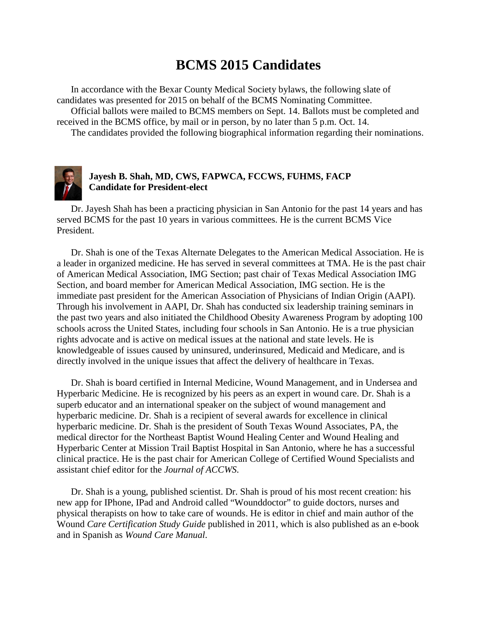# **BCMS 2015 Candidates**

In accordance with the Bexar County Medical Society bylaws, the following slate of candidates was presented for 2015 on behalf of the BCMS Nominating Committee. Official ballots were mailed to BCMS members on Sept. 14. Ballots must be completed and received in the BCMS office, by mail or in person, by no later than 5 p.m. Oct. 14.

The candidates provided the following biographical information regarding their nominations.



## **Jayesh B. Shah, MD, CWS, FAPWCA, FCCWS, FUHMS, FACP Candidate for President-elect**

Dr. Jayesh Shah has been a practicing physician in San Antonio for the past 14 years and has served BCMS for the past 10 years in various committees. He is the current BCMS Vice President.

Dr. Shah is one of the Texas Alternate Delegates to the American Medical Association. He is a leader in organized medicine. He has served in several committees at TMA. He is the past chair of American Medical Association, IMG Section; past chair of Texas Medical Association IMG Section, and board member for American Medical Association, IMG section. He is the immediate past president for the American Association of Physicians of Indian Origin (AAPI). Through his involvement in AAPI, Dr. Shah has conducted six leadership training seminars in the past two years and also initiated the Childhood Obesity Awareness Program by adopting 100 schools across the United States, including four schools in San Antonio. He is a true physician rights advocate and is active on medical issues at the national and state levels. He is knowledgeable of issues caused by uninsured, underinsured, Medicaid and Medicare, and is directly involved in the unique issues that affect the delivery of healthcare in Texas.

Dr. Shah is board certified in Internal Medicine, Wound Management, and in Undersea and Hyperbaric Medicine. He is recognized by his peers as an expert in wound care. Dr. Shah is a superb educator and an international speaker on the subject of wound management and hyperbaric medicine. Dr. Shah is a recipient of several awards for excellence in clinical hyperbaric medicine. Dr. Shah is the president of South Texas Wound Associates, PA, the medical director for the Northeast Baptist Wound Healing Center and Wound Healing and Hyperbaric Center at Mission Trail Baptist Hospital in San Antonio, where he has a successful clinical practice. He is the past chair for American College of Certified Wound Specialists and assistant chief editor for the *Journal of ACCWS*.

Dr. Shah is a young, published scientist. Dr. Shah is proud of his most recent creation: his new app for IPhone, IPad and Android called "Wounddoctor" to guide doctors, nurses and physical therapists on how to take care of wounds. He is editor in chief and main author of the Wound *Care Certification Study Guide* published in 2011, which is also published as an e-book and in Spanish as *Wound Care Manual*.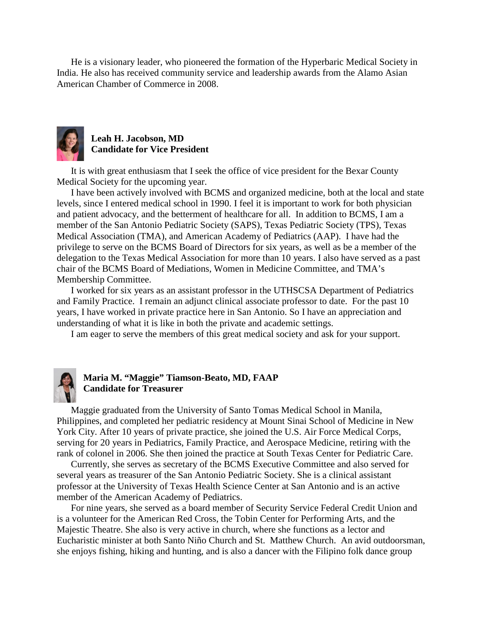He is a visionary leader, who pioneered the formation of the Hyperbaric Medical Society in India. He also has received community service and leadership awards from the Alamo Asian American Chamber of Commerce in 2008.



### **Leah H. Jacobson, MD Candidate for Vice President**

It is with great enthusiasm that I seek the office of vice president for the Bexar County Medical Society for the upcoming year.

I have been actively involved with BCMS and organized medicine, both at the local and state levels, since I entered medical school in 1990. I feel it is important to work for both physician and patient advocacy, and the betterment of healthcare for all. In addition to BCMS, I am a member of the San Antonio Pediatric Society (SAPS), Texas Pediatric Society (TPS), Texas Medical Association (TMA), and American Academy of Pediatrics (AAP). I have had the privilege to serve on the BCMS Board of Directors for six years, as well as be a member of the delegation to the Texas Medical Association for more than 10 years. I also have served as a past chair of the BCMS Board of Mediations, Women in Medicine Committee, and TMA's Membership Committee.

I worked for six years as an assistant professor in the UTHSCSA Department of Pediatrics and Family Practice. I remain an adjunct clinical associate professor to date. For the past 10 years, I have worked in private practice here in San Antonio. So I have an appreciation and understanding of what it is like in both the private and academic settings.

I am eager to serve the members of this great medical society and ask for your support.



#### **Maria M. "Maggie" Tiamson-Beato, MD, FAAP Candidate for Treasurer**

Maggie graduated from the University of Santo Tomas Medical School in Manila, Philippines, and completed her pediatric residency at Mount Sinai School of Medicine in New York City. After 10 years of private practice, she joined the U.S. Air Force Medical Corps, serving for 20 years in Pediatrics, Family Practice, and Aerospace Medicine, retiring with the rank of colonel in 2006. She then joined the practice at South Texas Center for Pediatric Care.

Currently, she serves as secretary of the BCMS Executive Committee and also served for several years as treasurer of the San Antonio Pediatric Society. She is a clinical assistant professor at the University of Texas Health Science Center at San Antonio and is an active member of the American Academy of Pediatrics.

For nine years, she served as a board member of Security Service Federal Credit Union and is a volunteer for the American Red Cross, the Tobin Center for Performing Arts, and the Majestic Theatre. She also is very active in church, where she functions as a lector and Eucharistic minister at both Santo Niño Church and St. Matthew Church. An avid outdoorsman, she enjoys fishing, hiking and hunting, and is also a dancer with the Filipino folk dance group